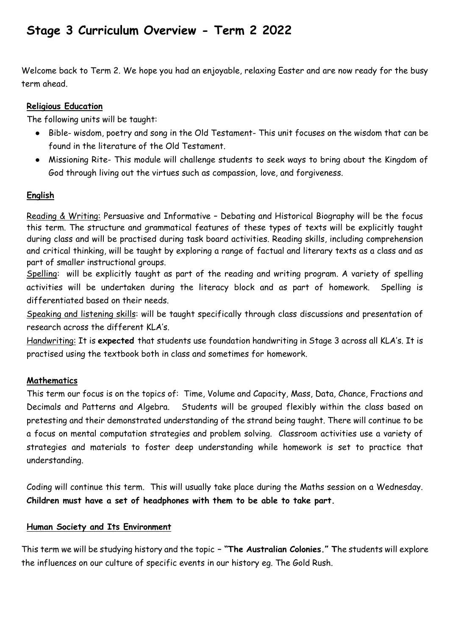# **Stage 3 Curriculum Overview - Term 2 2022**

Welcome back to Term 2. We hope you had an enjoyable, relaxing Easter and are now ready for the busy term ahead.

# **Religious Education**

The following units will be taught:

- Bible- wisdom, poetry and song in the Old Testament- This unit focuses on the wisdom that can be found in the literature of the Old Testament.
- Missioning Rite- This module will challenge students to seek ways to bring about the Kingdom of God through living out the virtues such as compassion, love, and forgiveness.

# **English**

Reading & Writing: Persuasive and Informative – Debating and Historical Biography will be the focus this term. The structure and grammatical features of these types of texts will be explicitly taught during class and will be practised during task board activities. Reading skills, including comprehension and critical thinking, will be taught by exploring a range of factual and literary texts as a class and as part of smaller instructional groups.

Spelling: will be explicitly taught as part of the reading and writing program. A variety of spelling activities will be undertaken during the literacy block and as part of homework. Spelling is differentiated based on their needs.

Speaking and listening skills: will be taught specifically through class discussions and presentation of research across the different KLA's.

Handwriting: It is **expected** that students use foundation handwriting in Stage 3 across all KLA's. It is practised using the textbook both in class and sometimes for homework.

# **Mathematics**

This term our focus is on the topics of: Time, Volume and Capacity, Mass, Data, Chance, Fractions and Decimals and Patterns and Algebra. Students will be grouped flexibly within the class based on pretesting and their demonstrated understanding of the strand being taught. There will continue to be a focus on mental computation strategies and problem solving. Classroom activities use a variety of strategies and materials to foster deep understanding while homework is set to practice that understanding.

Coding will continue this term. This will usually take place during the Maths session on a Wednesday. **Children must have a set of headphones with them to be able to take part.**

## **Human Society and Its Environment**

This term we will be studying history and the topic **– "The Australian Colonies." T**he students will explore the influences on our culture of specific events in our history eg. The Gold Rush.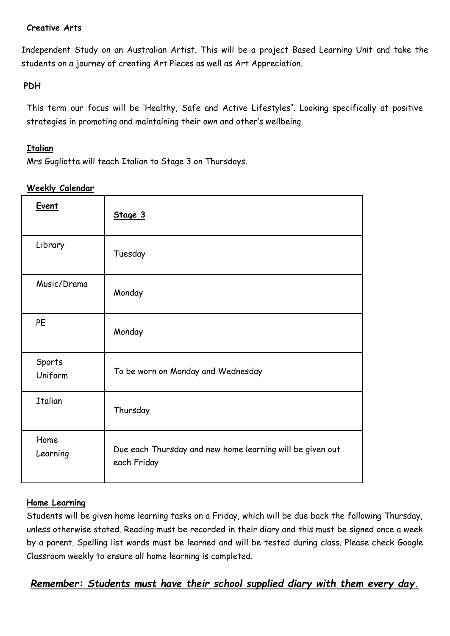# **Creative Arts**

Independent Study on an Australian Artist. This will be a project Based Learning Unit and take the students on a journey of creating Art Pieces as well as Art Appreciation.

#### **PDH**

This term our focus will be 'Healthy, Safe and Active Lifestyles''. Looking specifically at positive strategies in promoting and maintaining their own and other's wellbeing.

#### **Italian**

Mrs Gugliotta will teach Italian to Stage 3 on Thursdays.

#### **Weekly Calendar**

| <b>Event</b>      | Stage 3                                                                  |
|-------------------|--------------------------------------------------------------------------|
| Library           | Tuesday                                                                  |
| Music/Drama       | Monday                                                                   |
| <b>PE</b>         | Monday                                                                   |
| Sports<br>Uniform | To be worn on Monday and Wednesday                                       |
| <b>Italian</b>    | Thursday                                                                 |
| Home<br>Learning  | Due each Thursday and new home learning will be given out<br>each Friday |

## **Home Learning**

Students will be given home learning tasks on a Friday, which will be due back the following Thursday, unless otherwise stated. Reading must be recorded in their diary and this must be signed once a week by a parent. Spelling list words must be learned and will be tested during class. Please check Google Classroom weekly to ensure all home learning is completed.

*Remember: Students must have their school supplied diary with them every day.*